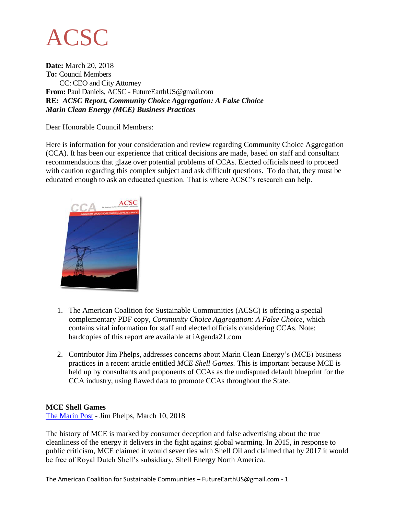

**Date:** March 20, 2018 **To:** Council Members CC: CEO and City Attorney **From:** Paul Daniels, ACSC - FutureEarthUS@gmail.com **RE***: ACSC Report, Community Choice Aggregation: A False Choice Marin Clean Energy (MCE) Business Practices*

Dear Honorable Council Members:

Here is information for your consideration and review regarding Community Choice Aggregation (CCA). It has been our experience that critical decisions are made, based on staff and consultant recommendations that glaze over potential problems of CCAs. Elected officials need to proceed with caution regarding this complex subject and ask difficult questions. To do that, they must be educated enough to ask an educated question. That is where ACSC's research can help.



- 1. The American Coalition for Sustainable Communities (ACSC) is offering a special complementary PDF copy, *Community Choice Aggregation: A False Choice*, which contains vital information for staff and elected officials considering CCAs. Note: hardcopies of this report are available at iAgenda21.com
- 2. Contributor Jim Phelps, addresses concerns about Marin Clean Energy's (MCE) business practices in a recent article entitled *MCE Shell Games.* This is important because MCE is held up by consultants and proponents of CCAs as the undisputed default blueprint for the CCA industry, using flawed data to promote CCAs throughout the State.

#### **MCE Shell Games**

[The Marin Post](https://marinpost.org/blog/2018/3/10/mce-shell-games-v-2018) - Jim Phelps, March 10, 2018

The history of MCE is marked by consumer deception and false advertising about the true cleanliness of the energy it delivers in the fight against global warming. In 2015, in response to public criticism, MCE claimed it would sever ties with Shell Oil and claimed that by 2017 it would be free of Royal Dutch Shell's subsidiary, Shell Energy North America.

The American Coalition for Sustainable Communities – FutureEarthUS@gmail.com - 1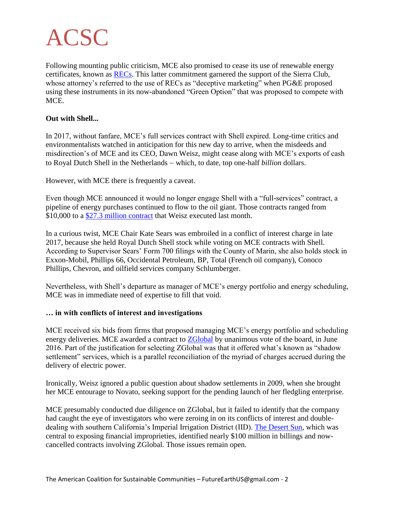

Following mounting public criticism, MCE also promised to cease its use of renewable energy certificates, known as [RECs.](https://marinpost.org/blog/2016/4/17/kate-sears-dirty-secrets-part-i-of-two-parts?query=mce§ion=) This latter commitment garnered the support of the Sierra Club, whose attorney's referred to the use of RECs as "deceptive marketing" when PG&E proposed using these instruments in its now-abandoned "Green Option" that was proposed to compete with MCE.

#### **Out with Shell...**

In 2017, without fanfare, MCE's full services contract with Shell expired. Long-time critics and environmentalists watched in anticipation for this new day to arrive, when the misdeeds and misdirection's of MCE and its CEO, Dawn Weisz, might cease along with MCE's exports of cash to Royal Dutch Shell in the Netherlands – which, to date, top one-half *billion* dollars.

However, with MCE there is frequently a caveat.

Even though MCE announced it would no longer engage Shell with a "full-services" contract, a pipeline of energy purchases continued to flow to the oil giant. Those contracts ranged from \$10,000 to a [\\$27.3 million contract](http://docdro.id/QUfvI2u) that Weisz executed last month.

In a curious twist, MCE Chair Kate Sears was embroiled in a conflict of interest charge in late 2017, because she held Royal Dutch Shell stock while voting on MCE contracts with Shell. According to Supervisor Sears' Form 700 filings with the County of Marin, she also holds stock in Exxon-Mobil, Phillips 66, Occidental Petroleum, BP, Total (French oil company), Conoco Phillips, Chevron, and oilfield services company Schlumberger.

Nevertheless, with Shell's departure as manager of MCE's energy portfolio and energy scheduling, MCE was in immediate need of expertise to fill that void.

### **… in with conflicts of interest and investigations**

MCE received six bids from firms that proposed managing MCE's energy portfolio and scheduling energy deliveries. MCE awarded a contract to [ZGlobal](http://docdro.id/fofbfFq) by unanimous vote of the board, in June 2016. Part of the justification for selecting ZGlobal was that it offered what's known as "shadow settlement" services, which is a parallel reconciliation of the myriad of charges accrued during the delivery of electric power.

Ironically, Weisz ignored a public question about shadow settlements in 2009, when she brought her MCE entourage to Novato, seeking support for the pending launch of her fledgling enterprise.

MCE presumably conducted due diligence on ZGlobal, but it failed to identify that the company had caught the eye of investigators who were zeroing in on its conflicts of interest and doubledealing with southern California's Imperial Irrigation District (IID). [The Desert Sun,](https://www.desertsun.com/story/tech/science/energy/2017/12/21/imperial-irrigation-district-zglobal-iid-rooftop-solar-net-metering-coachella-valley-indio/907593001/) which was central to exposing financial improprieties, identified nearly \$100 million in billings and nowcancelled contracts involving ZGlobal. Those issues remain open.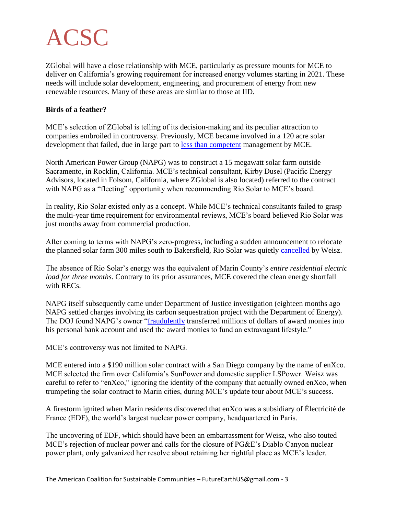ZGlobal will have a close relationship with MCE, particularly as pressure mounts for MCE to deliver on California's growing requirement for increased energy volumes starting in 2021. These needs will include solar development, engineering, and procurement of energy from new renewable resources. Many of these areas are similar to those at IID.

### **Birds of a feather?**

MCE's selection of ZGlobal is telling of its decision-making and its peculiar attraction to companies embroiled in controversy. Previously, MCE became involved in a 120 acre solar development that failed, due in large part to [less than competent](http://docdro.id/GAlhLxl) management by MCE.

North American Power Group (NAPG) was to construct a 15 megawatt solar farm outside Sacramento, in Rocklin, California. MCE's technical consultant, Kirby Dusel (Pacific Energy Advisors, located in Folsom, California, where ZGlobal is also located) referred to the contract with NAPG as a "fleeting" opportunity when recommending Rio Solar to MCE's board.

In reality, Rio Solar existed only as a concept. While MCE's technical consultants failed to grasp the multi-year time requirement for environmental reviews, MCE's board believed Rio Solar was just months away from commercial production.

After coming to terms with NAPG's zero-progress, including a sudden announcement to relocate the planned solar farm 300 miles south to Bakersfield, Rio Solar was quietly [cancelled](http://docdro.id/PsEU8ue) by Weisz.

The absence of Rio Solar's energy was the equivalent of Marin County's *entire residential electric load for three months*. Contrary to its prior assurances, MCE covered the clean energy shortfall with  $RECs$ .

NAPG itself subsequently came under Department of Justice investigation (eighteen months ago NAPG settled charges involving its carbon sequestration project with the Department of Energy). The DOJ found NAPG's owner ["fraudulently](https://www.justice.gov/usao-wdpa/pr/colorado-energy-company-executive-pleads-guilty-filing-false-claim-against-us) transferred millions of dollars of award monies into his personal bank account and used the award monies to fund an extravagant lifestyle."

MCE's controversy was not limited to NAPG.

MCE entered into a \$190 million solar contract with a San Diego company by the name of enXco. MCE selected the firm over California's SunPower and domestic supplier LSPower. Weisz was careful to refer to "enXco," ignoring the identity of the company that actually owned enXco, when trumpeting the solar contract to Marin cities, during MCE's update tour about MCE's success.

A firestorm ignited when Marin residents discovered that enXco was a subsidiary of Électricité de France (EDF), the world's largest nuclear power company, headquartered in Paris.

The uncovering of EDF, which should have been an embarrassment for Weisz, who also touted MCE's rejection of nuclear power and calls for the closure of PG&E's Diablo Canyon nuclear power plant, only galvanized her resolve about retaining her rightful place as MCE's leader.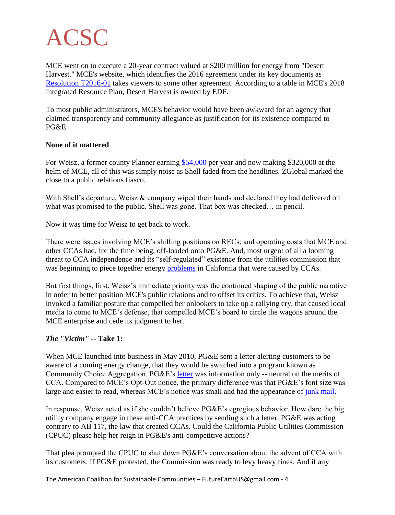MCE went on to execute a 20-year contract valued at \$200 million for energy from "Desert Harvest." MCE's website, which identifies the 2016 agreement under its key documents as [Resolution T2016-01](https://www.mcecleanenergy.org/wp-content/uploads/2016/11/Resolution-T2016-02-Aprvng-PPA-with-Antelope-Expansion-2-LLC.pdf) takes viewers to some other agreement. According to a table in MCE's 2018 Integrated Resource Plan, Desert Harvest is owned by EDF.

To most public administrators, MCE's behavior would have been awkward for an agency that claimed transparency and community allegiance as justification for its existence compared to PG&E.

### **None of it mattered**

For Weisz, a former county Planner earning [\\$54,000](http://docdro.id/KOvrYME) per year and now making \$320,000 at the helm of MCE, all of this was simply noise as Shell faded from the headlines. ZGlobal marked the close to a public relations fiasco.

With Shell's departure, Weisz & company wiped their hands and declared they had delivered on what was promised to the public. Shell was gone. That box was checked... in pencil.

Now it was time for Weisz to get back to work.

There were issues involving MCE's shifting positions on RECs; and operating costs that MCE and other CCAs had, for the time being, off-loaded onto PG&E. And, most urgent of all a looming threat to CCA independence and its "self-regulated" existence from the utilities commission that was beginning to piece together energy **problems** in California that were caused by CCAs.

But first things, first. Weisz's immediate priority was the continued shaping of the public narrative in order to better position MCE's public relations and to offset its critics. To achieve that, Weisz invoked a familiar posture that compelled her onlookers to take up a rallying cry, that caused local media to come to MCE's defense, that compelled MCE's board to circle the wagons around the MCE enterprise and cede its judgment to her.

### *The "Victim" --* **Take 1:**

When MCE launched into business in May 2010, PG&E sent a letter alerting customers to be aware of a coming energy change, that they would be switched into a program known as Community Choice Aggregation. PG&E's [letter](http://docdro.id/6j8MKRp) was information only -- neutral on the merits of CCA. Compared to MCE's Opt-Out notice, the primary difference was that PG&E's font size was large and easier to read, whereas MCE's notice was small and had the appearance of [junk mail.](http://docdro.id/YRVSuZ3)

In response, Weisz acted as if she couldn't believe PG&E's egregious behavior. How dare the big utility company engage in these anti-CCA practices by sending such a letter. PG&E was acting contrary to AB 117, the law that created CCAs. Could the California Public Utilities Commission (CPUC) please help her reign in PG&E's anti-competitive actions?

That plea prompted the CPUC to shut down PG&E's conversation about the advent of CCA with its customers. If PG&E protested, the Commission was ready to levy heavy fines. And if any

The American Coalition for Sustainable Communities – FutureEarthUS@gmail.com - 4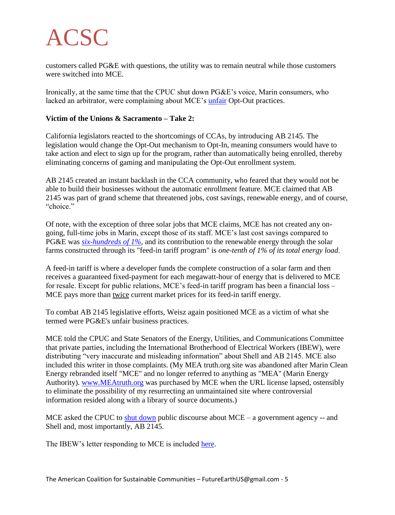customers called PG&E with questions, the utility was to remain neutral while those customers were switched into MCE.

Ironically, at the same time that the CPUC shut down PG&E's voice, Marin consumers, who lacked an arbitrator, were complaining about MCE's [unfair](https://www.docdroid.net/jfNuanW/master-cca-optout-problems-letters.pdf) Opt-Out practices.

## **Victim of the Unions & Sacramento – Take 2:**

California legislators reacted to the shortcomings of CCAs, by introducing AB 2145. The legislation would change the Opt-Out mechanism to Opt-In, meaning consumers would have to take action and elect to sign up for the program, rather than automatically being enrolled, thereby eliminating concerns of gaming and manipulating the Opt-Out enrollment system.

AB 2145 created an instant backlash in the CCA community, who feared that they would not be able to build their businesses without the automatic enrollment feature. MCE claimed that AB 2145 was part of grand scheme that threatened jobs, cost savings, renewable energy, and of course, "choice"

Of note, with the exception of three solar jobs that MCE claims, MCE has not created any ongoing, full-time jobs in Marin, except those of its staff. MCE's last cost savings compared to PG&E was *[six-hundreds of 1%,](https://marinpost.org/letters/2017/02/09#7068)* and its contribution to the renewable energy through the solar farms constructed through its "feed-in tariff program" is *one-tenth of 1% of its total energy load*.

A feed-in tariff is where a developer funds the complete construction of a solar farm and then receives a guaranteed fixed-payment for each megawatt-hour of energy that is delivered to MCE for resale. Except for public relations, MCE's feed-in tariff program has been a financial loss – MCE pays more than twice current market prices for its feed-in tariff energy.

To combat AB 2145 legislative efforts, Weisz again positioned MCE as a victim of what she termed were PG&E's unfair business practices.

MCE told the CPUC and State Senators of the Energy, Utilities, and Communications Committee that private parties, including the International Brotherhood of Electrical Workers (IBEW), were distributing "very inaccurate and misleading information" about Shell and AB 2145. MCE also included this writer in those complaints. (My MEA truth.org site was abandoned after Marin Clean Energy rebranded itself "MCE" and no longer referred to anything as "MEA" (Marin Energy Authority). [www.MEAtruth.org](http://www.meatruth.org/) was purchased by MCE when the URL license lapsed, ostensibly to eliminate the possibility of my resurrecting an unmaintained site where controversial information resided along with a library of source documents.)

MCE asked the CPUC to [shut down](http://docdro.id/VcVpUcb) public discourse about MCE – a government agency -- and Shell and, most importantly, AB 2145.

The IBEW's letter responding to MCE is included [here.](http://docdro.id/y8OrPfs)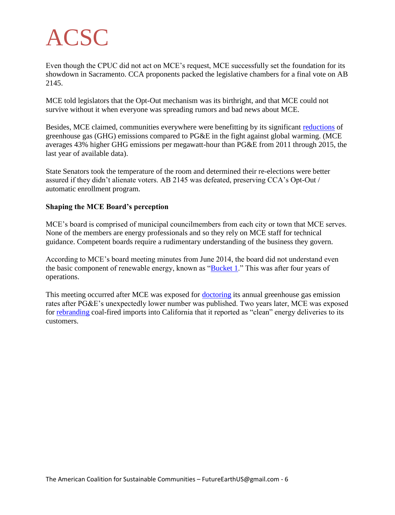Even though the CPUC did not act on MCE's request, MCE successfully set the foundation for its showdown in Sacramento. CCA proponents packed the legislative chambers for a final vote on AB 2145.

MCE told legislators that the Opt-Out mechanism was its birthright, and that MCE could not survive without it when everyone was spreading rumors and bad news about MCE.

Besides, MCE claimed, communities everywhere were benefitting by its significant [reductions](http://docdro.id/bDlaHFA) of greenhouse gas (GHG) emissions compared to PG&E in the fight against global warming. (MCE averages 43% higher GHG emissions per megawatt-hour than PG&E from 2011 through 2015, the last year of available data).

State Senators took the temperature of the room and determined their re-elections were better assured if they didn't alienate voters. AB 2145 was defeated, preserving CCA's Opt-Out / automatic enrollment program.

### **Shaping the MCE Board's perception**

MCE's board is comprised of municipal councilmembers from each city or town that MCE serves. None of the members are energy professionals and so they rely on MCE staff for technical guidance. Competent boards require a rudimentary understanding of the business they govern.

According to MCE's board meeting minutes from June 2014, the board did not understand even the basic component of renewable energy, known as ["Bucket 1.](http://docdro.id/sLJBanf)" This was after four years of operations.

This meeting occurred after MCE was exposed for **doctoring** its annual greenhouse gas emission rates after PG&E's unexpectedly lower number was published. Two years later, MCE was exposed for [rebranding](http://docdro.id/6qQ6eSI) coal-fired imports into California that it reported as "clean" energy deliveries to its customers.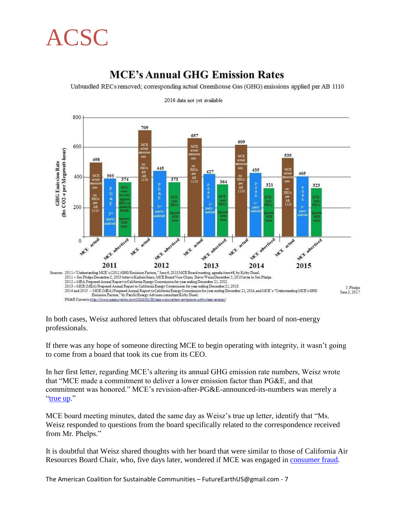# **MCE's Annual GHG Emission Rates**

Unbundled RECs removed; corresponding actual Greenhouse Gas (GHG) emissions applied per AB 1110



2016 data not yet available

In both cases, Weisz authored letters that obfuscated details from her board of non-energy professionals.

If there was any hope of someone directing MCE to begin operating with integrity, it wasn't going to come from a board that took its cue from its CEO.

In her first letter, regarding MCE's altering its annual GHG emission rate numbers, Weisz wrote that "MCE made a commitment to deliver a lower emission factor than PG&E, and that commitment was honored." MCE's revision-after-PG&E-announced-its-numbers was merely a ["true up.](http://docdro.id/s48Zkik)"

MCE board meeting minutes, dated the same day as Weisz's true up letter, identify that "Ms. Weisz responded to questions from the board specifically related to the correspondence received from Mr. Phelps."

It is doubtful that Weisz shared thoughts with her board that were similar to those of California Air Resources Board Chair, who, five days later, wondered if MCE was engaged in [consumer fraud.](http://docdro.id/zTMFAgU)

The American Coalition for Sustainable Communities – FutureEarthUS@gmail.com - 7